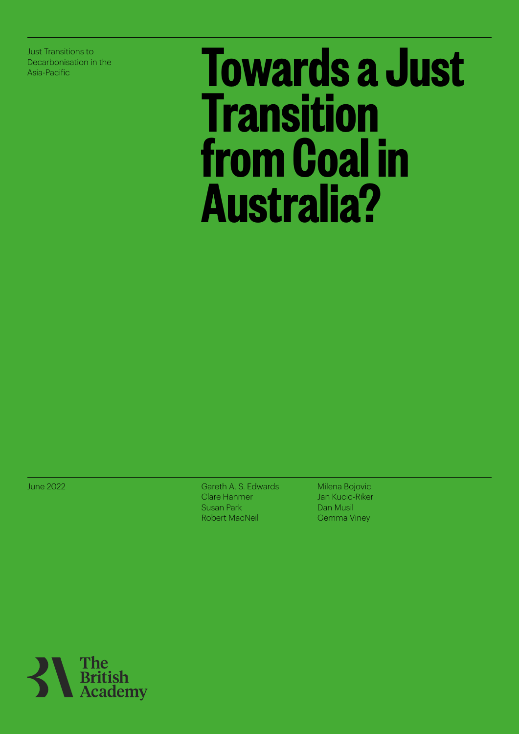Just Transitions to Decarbonisation in the

# **Decarbonisation in the Towards a Just Transitions to Transition from Coal in Australia?**

June 2022

Gareth A. S. Edwards Clare Hanmer Susan Park Robert MacNeil

Milena Bojovic Jan Kucic-Riker Dan Musil Gemma Viney

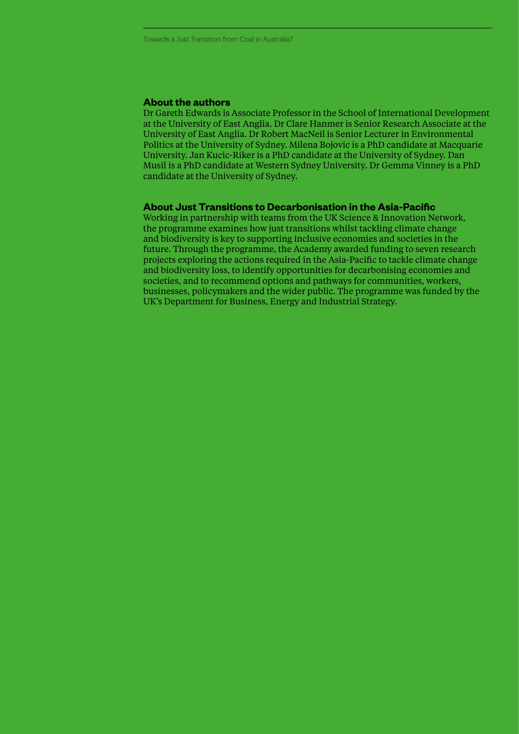#### **About the authors**

Dr Gareth Edwards is Associate Professor in the School of International Development at the University of East Anglia. Dr Clare Hanmer is Senior Research Associate at the University of East Anglia. Dr Robert MacNeil is Senior Lecturer in Environmental Politics at the University of Sydney. Milena Bojovic is a PhD candidate at Macquarie University. Jan Kucic-Riker is a PhD candidate at the University of Sydney. Dan Musil is a PhD candidate at Western Sydney University. Dr Gemma Vinney is a PhD candidate at the University of Sydney.

#### **About Just Transitions to Decarbonisation in the Asia-Pacific**

Working in partnership with teams from the UK Science & Innovation Network, the programme examines how just transitions whilst tackling climate change and biodiversity is key to supporting inclusive economies and societies in the future. Through the programme, the Academy awarded funding to seven research projects exploring the actions required in the Asia-Pacific to tackle climate change and biodiversity loss, to identify opportunities for decarbonising economies and societies, and to recommend options and pathways for communities, workers, businesses, policymakers and the wider public. The programme was funded by the UK's Department for Business, Energy and Industrial Strategy.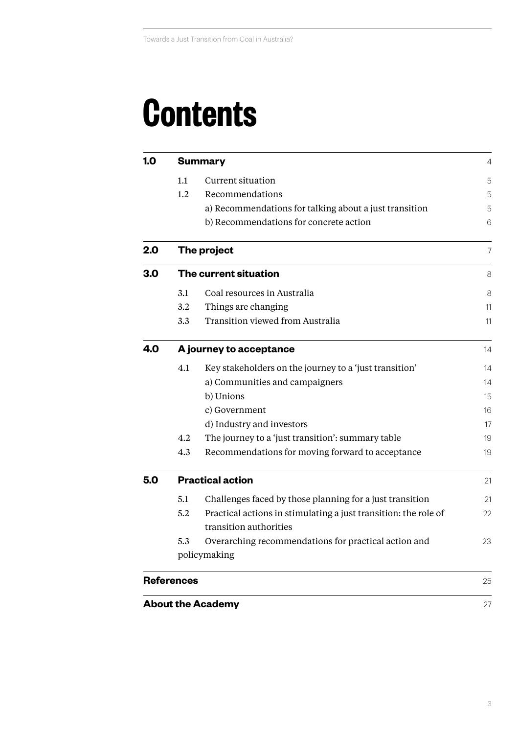### **Contents**

| 1.0 | <b>Summary</b>          |                                                                 |    |  |  |  |
|-----|-------------------------|-----------------------------------------------------------------|----|--|--|--|
|     | 1.1                     | Current situation                                               | 5  |  |  |  |
|     | 1.2                     | Recommendations                                                 | 5  |  |  |  |
|     |                         | a) Recommendations for talking about a just transition          | 5  |  |  |  |
|     |                         | b) Recommendations for concrete action                          | 6  |  |  |  |
| 2.0 |                         | The project                                                     | 7  |  |  |  |
| 3.0 | The current situation   |                                                                 |    |  |  |  |
|     | 3.1                     | Coal resources in Australia                                     | 8  |  |  |  |
|     | 3.2                     | Things are changing                                             | 11 |  |  |  |
|     | 3.3                     | Transition viewed from Australia                                | 11 |  |  |  |
| 4.0 | A journey to acceptance |                                                                 |    |  |  |  |
|     | 4.1                     | Key stakeholders on the journey to a 'just transition'          | 14 |  |  |  |
|     |                         | a) Communities and campaigners                                  | 14 |  |  |  |
|     |                         | b) Unions                                                       | 15 |  |  |  |
|     |                         | c) Government                                                   | 16 |  |  |  |
|     |                         | d) Industry and investors                                       | 17 |  |  |  |
|     | 4.2                     | The journey to a 'just transition': summary table               | 19 |  |  |  |
|     | 4.3                     | Recommendations for moving forward to acceptance                | 19 |  |  |  |
| 5.0 | <b>Practical action</b> |                                                                 |    |  |  |  |
|     | 5.1                     | Challenges faced by those planning for a just transition        | 21 |  |  |  |
|     | 5.2                     | Practical actions in stimulating a just transition: the role of | 22 |  |  |  |
|     |                         | transition authorities                                          |    |  |  |  |
|     | 5.3                     | Overarching recommendations for practical action and            | 23 |  |  |  |
|     | policymaking            |                                                                 |    |  |  |  |
|     | <b>References</b>       |                                                                 | 25 |  |  |  |
|     |                         | <b>About the Academy</b>                                        | 27 |  |  |  |
|     |                         |                                                                 |    |  |  |  |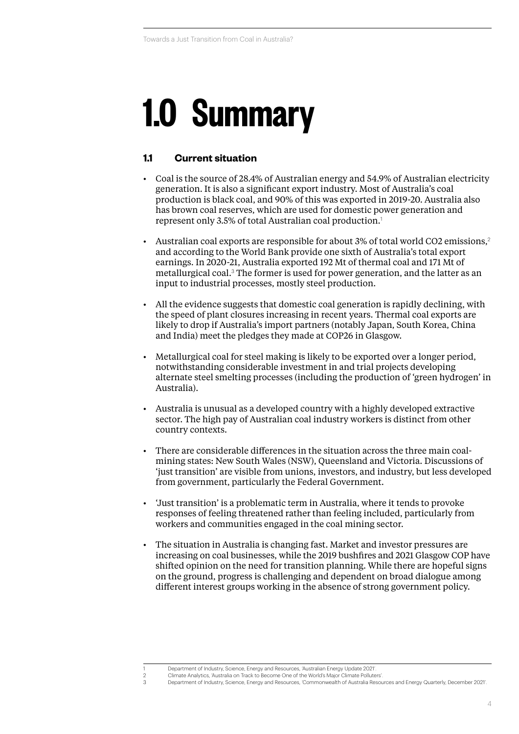# **1.0 Summary**

#### **1.1 Current situation**

- Coal is the source of 28.4% of Australian energy and 54.9% of Australian electricity generation. It is also a significant export industry. Most of Australia's coal production is black coal, and 90% of this was exported in 2019-20. Australia also has brown coal reserves, which are used for domestic power generation and represent only 3.5% of total Australian coal production.<sup>1</sup>
- Australian coal exports are responsible for about 3% of total world CO2 emissions,<sup>2</sup> and according to the World Bank provide one sixth of Australia's total export earnings. In 2020-21, Australia exported 192 Mt of thermal coal and 171 Mt of metallurgical coal.<sup>3</sup> The former is used for power generation, and the latter as an input to industrial processes, mostly steel production.
- All the evidence suggests that domestic coal generation is rapidly declining, with the speed of plant closures increasing in recent years. Thermal coal exports are likely to drop if Australia's import partners (notably Japan, South Korea, China and India) meet the pledges they made at COP26 in Glasgow.
- Metallurgical coal for steel making is likely to be exported over a longer period, notwithstanding considerable investment in and trial projects developing alternate steel smelting processes (including the production of 'green hydrogen' in Australia).
- Australia is unusual as a developed country with a highly developed extractive sector. The high pay of Australian coal industry workers is distinct from other country contexts.
- There are considerable differences in the situation across the three main coalmining states: New South Wales (NSW), Queensland and Victoria. Discussions of 'just transition' are visible from unions, investors, and industry, but less developed from government, particularly the Federal Government.
- 'Just transition' is a problematic term in Australia, where it tends to provoke responses of feeling threatened rather than feeling included, particularly from workers and communities engaged in the coal mining sector.
- The situation in Australia is changing fast. Market and investor pressures are increasing on coal businesses, while the 2019 bushfires and 2021 Glasgow COP have shifted opinion on the need for transition planning. While there are hopeful signs on the ground, progress is challenging and dependent on broad dialogue among different interest groups working in the absence of strong government policy.

<sup>1</sup> Department of Industry, Science, Energy and Resources, 'Australian Energy Update 2021'.

<sup>2</sup> Climate Analytics, 'Australia on Track to Become One of the World's Major Climate Polluters'. 3 Department of Industry, Science, Energy and Resources, 'Commonwealth of Australia Resources and Energy Quarterly, December 2021'.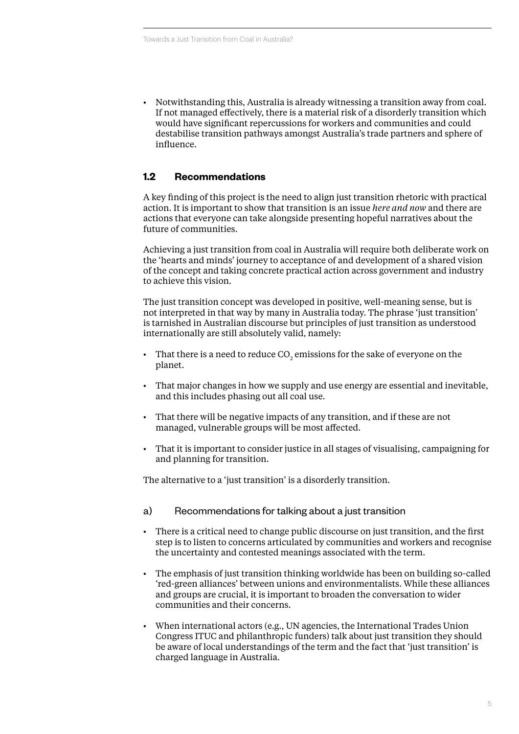• Notwithstanding this, Australia is already witnessing a transition away from coal. If not managed effectively, there is a material risk of a disorderly transition which would have significant repercussions for workers and communities and could destabilise transition pathways amongst Australia's trade partners and sphere of influence.

#### **1.2 Recommendations**

A key finding of this project is the need to align just transition rhetoric with practical action. It is important to show that transition is an issue *here and now* and there are actions that everyone can take alongside presenting hopeful narratives about the future of communities.

Achieving a just transition from coal in Australia will require both deliberate work on the 'hearts and minds' journey to acceptance of and development of a shared vision of the concept and taking concrete practical action across government and industry to achieve this vision.

The just transition concept was developed in positive, well-meaning sense, but is not interpreted in that way by many in Australia today. The phrase 'just transition' is tarnished in Australian discourse but principles of just transition as understood internationally are still absolutely valid, namely:

- That there is a need to reduce CO<sub>2</sub> emissions for the sake of everyone on the planet.
- That major changes in how we supply and use energy are essential and inevitable, and this includes phasing out all coal use.
- That there will be negative impacts of any transition, and if these are not managed, vulnerable groups will be most affected.
- That it is important to consider justice in all stages of visualising, campaigning for and planning for transition.

The alternative to a 'just transition' is a disorderly transition.

#### a) Recommendations for talking about a just transition

- There is a critical need to change public discourse on just transition, and the first step is to listen to concerns articulated by communities and workers and recognise the uncertainty and contested meanings associated with the term.
- The emphasis of just transition thinking worldwide has been on building so-called 'red-green alliances' between unions and environmentalists. While these alliances and groups are crucial, it is important to broaden the conversation to wider communities and their concerns.
- When international actors (e.g., UN agencies, the International Trades Union Congress ITUC and philanthropic funders) talk about just transition they should be aware of local understandings of the term and the fact that 'just transition' is charged language in Australia.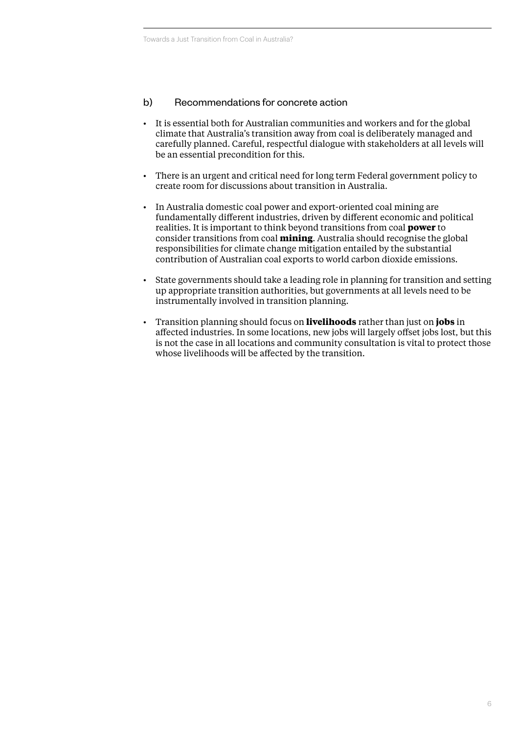#### b) Recommendations for concrete action

- It is essential both for Australian communities and workers and for the global climate that Australia's transition away from coal is deliberately managed and carefully planned. Careful, respectful dialogue with stakeholders at all levels will be an essential precondition for this.
- There is an urgent and critical need for long term Federal government policy to create room for discussions about transition in Australia.
- In Australia domestic coal power and export-oriented coal mining are fundamentally different industries, driven by different economic and political realities. It is important to think beyond transitions from coal **power** to consider transitions from coal **mining**. Australia should recognise the global responsibilities for climate change mitigation entailed by the substantial contribution of Australian coal exports to world carbon dioxide emissions.
- State governments should take a leading role in planning for transition and setting up appropriate transition authorities, but governments at all levels need to be instrumentally involved in transition planning.
- Transition planning should focus on **livelihoods** rather than just on **jobs** in affected industries. In some locations, new jobs will largely offset jobs lost, but this is not the case in all locations and community consultation is vital to protect those whose livelihoods will be affected by the transition.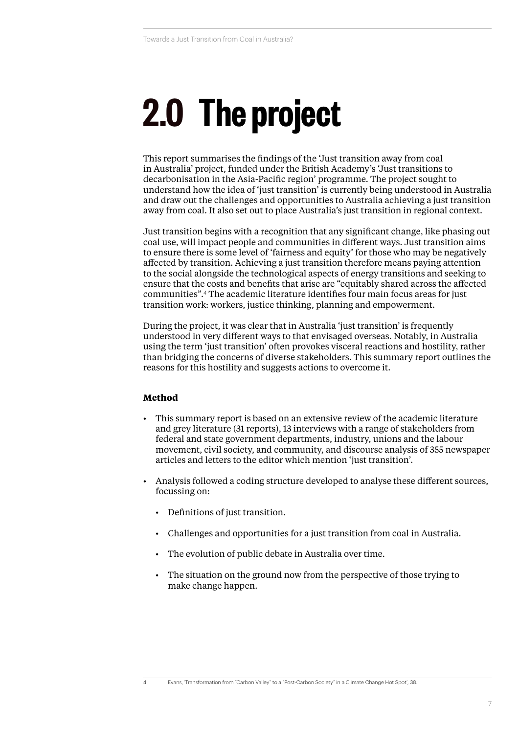# <span id="page-6-0"></span>**2.0 The project**

This report summarises the findings of the 'Just transition away from coal in Australia' project, funded under the British Academy's 'Just transitions to decarbonisation in the Asia-Pacific region' programme. The project sought to understand how the idea of 'just transition' is currently being understood in Australia and draw out the challenges and opportunities to Australia achieving a just transition away from coal. It also set out to place Australia's just transition in regional context.

Just transition begins with a recognition that any significant change, like phasing out coal use, will impact people and communities in different ways. Just transition aims to ensure there is some level of 'fairness and equity' for those who may be negatively affected by transition. Achieving a just transition therefore means paying attention to the social alongside the technological aspects of energy transitions and seeking to ensure that the costs and benefits that arise are "equitably shared across the affected communities".<sup>4</sup> The academic literature identifies four main focus areas for just transition work: workers, justice thinking, planning and empowerment.

During the project, it was clear that in Australia 'just transition' is frequently understood in very different ways to that envisaged overseas. Notably, in Australia using the term 'just transition' often provokes visceral reactions and hostility, rather than bridging the concerns of diverse stakeholders. This summary report outlines the reasons for this hostility and suggests actions to overcome it.

#### **Method**

- This summary report is based on an extensive review of the academic literature and grey literature (31 reports), 13 interviews with a range of stakeholders from federal and state government departments, industry, unions and the labour movement, civil society, and community, and discourse analysis of 355 newspaper articles and letters to the editor which mention 'just transition'.
- Analysis followed a coding structure developed to analyse these different sources, focussing on:
	- Definitions of just transition.
	- Challenges and opportunities for a just transition from coal in Australia.
	- The evolution of public debate in Australia over time.
	- The situation on the ground now from the perspective of those trying to make change happen.

<sup>4</sup> Evans, 'Transformation from "Carbon Valley" to a "Post-Carbon Society" in a Climate Change Hot Spot', 38.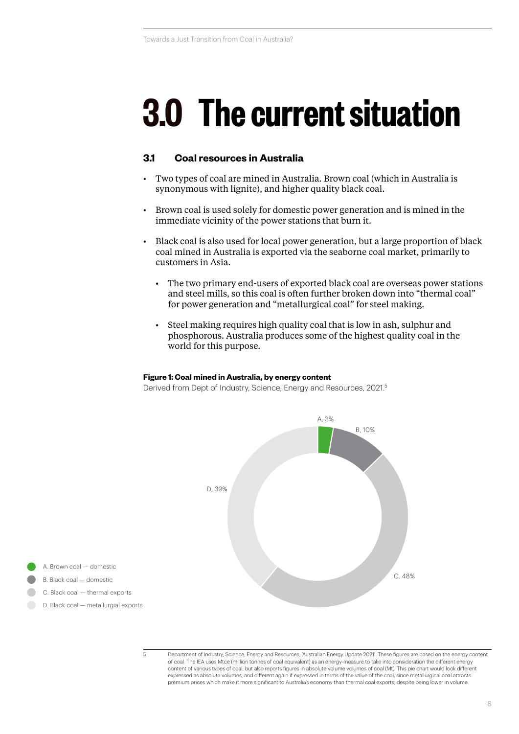### **3.0 The current situation**

#### **3.1 Coal resources in Australia**

- Two types of coal are mined in Australia. Brown coal (which in Australia is synonymous with lignite), and higher quality black coal.
- Brown coal is used solely for domestic power generation and is mined in the immediate vicinity of the power stations that burn it.
- Black coal is also used for local power generation, but a large proportion of black coal mined in Australia is exported via the seaborne coal market, primarily to customers in Asia.
	- The two primary end-users of exported black coal are overseas power stations and steel mills, so this coal is often further broken down into "thermal coal" for power generation and "metallurgical coal" for steel making.
	- Steel making requires high quality coal that is low in ash, sulphur and phosphorous. Australia produces some of the highest quality coal in the world for this purpose.

#### **Figure 1: Coal mined in Australia, by energy content**

**Figure 1: Sea: Hince in Australia, by Shorgy Scheme**<br>Derived from Dept of Industry, Science, Energy and Resources, 2021.<sup>5</sup>



B. Black coal — domestic B. Black coal — domestic A. Brown coal — domestic A. Brown coal — domestic

- C. Black coal thermal exports C. Black coal thermal exports
- D. Black coal metallurgial exports D. Black coal metallurgial exports

<sup>5</sup> Department of Industry, Science, Energy and Resources, 'Australian Energy Update 2021'. These figures are based on the energy content of coal. The IEA uses Mtce (million tonnes of coal equivalent) as an energy-measure to take into consideration the different energy content of various types of coal, but also reports figures in absolute volume volumes of coal (Mt). This pie chart would look different expressed as absolute volumes, and different again if expressed in terms of the value of the coal, since metallurgical coal attracts premium prices which make it more significant to Australia's economy than thermal coal exports, despite being lower in volume.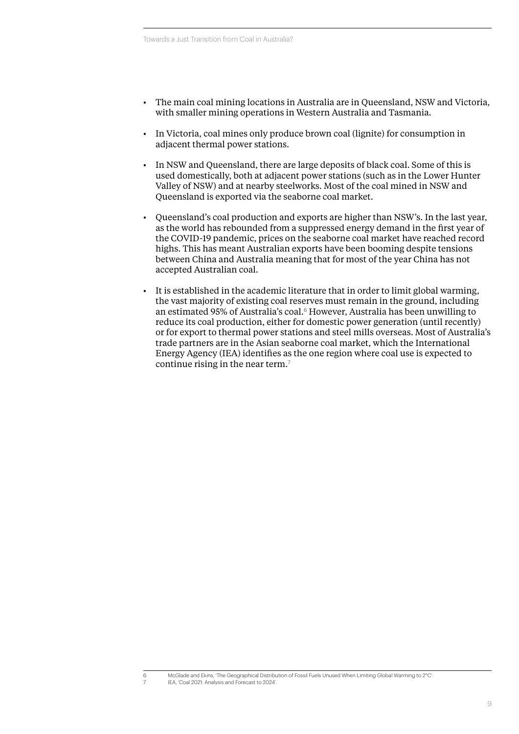- The main coal mining locations in Australia are in Queensland, NSW and Victoria, with smaller mining operations in Western Australia and Tasmania.
- In Victoria, coal mines only produce brown coal (lignite) for consumption in adjacent thermal power stations.
- In NSW and Queensland, there are large deposits of black coal. Some of this is used domestically, both at adjacent power stations (such as in the Lower Hunter Valley of NSW) and at nearby steelworks. Most of the coal mined in NSW and Queensland is exported via the seaborne coal market.
- Queensland's coal production and exports are higher than NSW's. In the last year, as the world has rebounded from a suppressed energy demand in the first year of the COVID-19 pandemic, prices on the seaborne coal market have reached record highs. This has meant Australian exports have been booming despite tensions between China and Australia meaning that for most of the year China has not accepted Australian coal.
- It is established in the academic literature that in order to limit global warming, the vast majority of existing coal reserves must remain in the ground, including an estimated 95% of Australia's coal.<sup>6</sup> However, Australia has been unwilling to reduce its coal production, either for domestic power generation (until recently) or for export to thermal power stations and steel mills overseas. Most of Australia's trade partners are in the Asian seaborne coal market, which the International Energy Agency (IEA) identifies as the one region where coal use is expected to continue rising in the near term.<sup>7</sup>

<sup>6</sup> McGlade and Ekins, 'The Geographical Distribution of Fossil Fuels Unused When Limiting Global Warming to 2°C'. 7 IEA, 'Coal 2021: Analysis and Forecast to 2024'.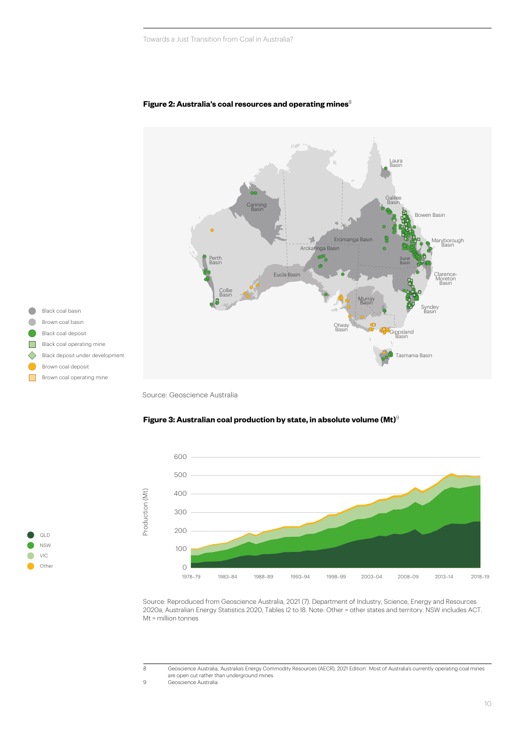

#### **Figure 2: Australia's coal resources and operating mines**<sup>8</sup> **Figure 2: Australia's coal resources and opera**

Source: Geoscience Australia



#### **Figure 3: Australian coal production by state, in absolute volume (Mt)**<sup>9</sup> **Figure 3: Australian coal production by state Figure 3: Australian coal production by state**

Source: Reproduced from Geoscience Australia, 2021 (7). Department of Industry, Science, Energy and Resources Source: Reproduced from Geoscience Australia, 2021 (7). Department of Industry, Science, Energy and Resources 2020a, Australian Energy Statistics 2020, Tables I2 to I8. Note: Other = other states and territory. NSW includes ACT. Mt = million tonnes Mt = million tonnes

9 Geoscience Australia.

NSW VIC Other

QLD

<sup>8</sup> Geoscience Australia, 'Australia's Energy Commodity Resources (AECR), 2021 Edition'. Most of Australia's currently operating coal mines are open cut rather than underground mines.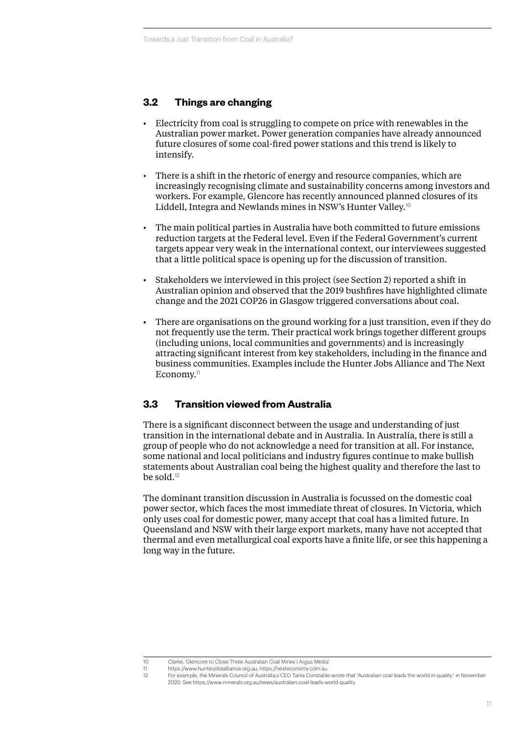#### **3.2 Things are changing**

- Electricity from coal is struggling to compete on price with renewables in the Australian power market. Power generation companies have already announced future closures of some coal-fired power stations and this trend is likely to intensify.
- There is a shift in the rhetoric of energy and resource companies, which are increasingly recognising climate and sustainability concerns among investors and workers. For example, Glencore has recently announced planned closures of its Liddell, Integra and Newlands mines in NSW's Hunter Valley.<sup>10</sup>
- The main political parties in Australia have both committed to future emissions reduction targets at the Federal level. Even if the Federal Government's current targets appear very weak in the international context, our interviewees suggested that a little political space is opening up for the discussion of transition.
- Stakeholders we interviewed in this project (see Section [2\)](#page-6-0) reported a shift in Australian opinion and observed that the 2019 bushfires have highlighted climate change and the 2021 COP26 in Glasgow triggered conversations about coal.
- There are organisations on the ground working for a just transition, even if they do not frequently use the term. Their practical work brings together different groups (including unions, local communities and governments) and is increasingly attracting significant interest from key stakeholders, including in the finance and business communities. Examples include the [Hunter Jobs Alliance](https://www.hunterjobsalliance.org.au/) and [The Next](https://nexteconomy.com.au/)  [Economy.](https://nexteconomy.com.au/)<sup>11</sup>

#### **3.3 Transition viewed from Australia**

There is a significant disconnect between the usage and understanding of just transition in the international debate and in Australia. In Australia, there is still a group of people who do not acknowledge a need for transition at all. For instance, some national and local politicians and industry figures continue to make bullish statements about Australian coal being the highest quality and therefore the last to be sold.<sup>12</sup>

The dominant transition discussion in Australia is focussed on the domestic coal power sector, which faces the most immediate threat of closures. In Victoria, which only uses coal for domestic power, many accept that coal has a limited future. In Queensland and NSW with their large export markets, many have not accepted that thermal and even metallurgical coal exports have a finite life, or see this happening a long way in the future.

<sup>10</sup> Clarke, 'Glencore to Close Three Australian Coal Mines | Argus Media'.

<sup>11</sup> <https://www.hunterjobsalliance.org.au>; <https://nexteconomy.com.au>

<sup>12</sup> For example, the Minerals Council of Australia;s CEO Tania Constable wrote that "Australian coal leads the world in quality" in November 2020. See<https://www.minerals.org.au/news/australian-coal-leads-world-quality>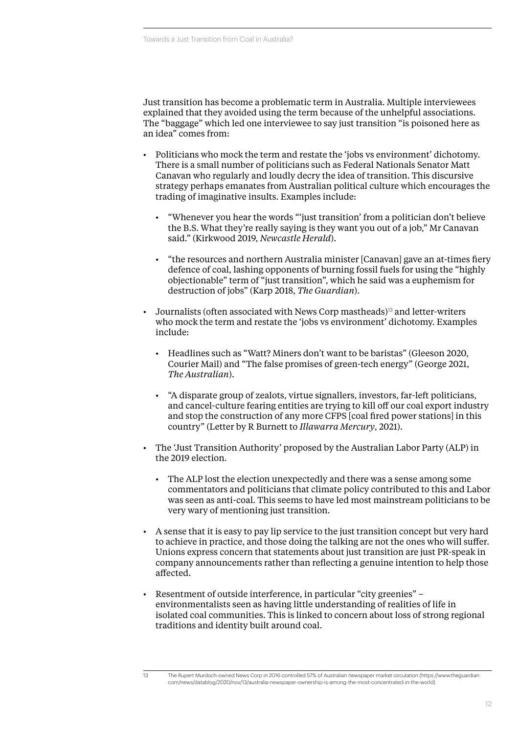Just transition has become a problematic term in Australia. Multiple interviewees explained that they avoided using the term because of the unhelpful associations. The "baggage" which led one interviewee to say just transition "is poisoned here as an idea" comes from:

- Politicians who mock the term and restate the 'jobs vs environment' dichotomy. There is a small number of politicians such as Federal Nationals Senator Matt Canavan who regularly and loudly decry the idea of transition. This discursive strategy perhaps emanates from Australian political culture which encourages the trading of imaginative insults. Examples include:
	- "Whenever you hear the words "'just transition' from a politician don't believe the B.S. What they're really saying is they want you out of a job," Mr Canavan said." (Kirkwood 2019, *Newcastle Herald*).
	- "the resources and northern Australia minister [Canavan] gave an at-times fiery defence of coal, lashing opponents of burning fossil fuels for using the "highly objectionable" term of "just transition", which he said was a euphemism for destruction of jobs" (Karp 2018, *The Guardian*).
- Journalists (often associated with News Corp mastheads)<sup>13</sup> and letter-writers who mock the term and restate the 'jobs vs environment' dichotomy. Examples include:
	- Headlines such as "Watt? Miners don't want to be baristas" (Gleeson 2020, Courier Mail) and "The false promises of green-tech energy" (George 2021, *The Australian*).
	- "A disparate group of zealots, virtue signallers, investors, far-left politicians, and cancel-culture fearing entities are trying to kill off our coal export industry and stop the construction of any more CFPS [coal fired power stations] in this country" (Letter by R Burnett to *Illawarra Mercury*, 2021).
- The 'Just Transition Authority' proposed by the Australian Labor Party (ALP) in the 2019 election.
	- The ALP lost the election unexpectedly and there was a sense among some commentators and politicians that climate policy contributed to this and Labor was seen as anti-coal. This seems to have led most mainstream politicians to be very wary of mentioning just transition.
- A sense that it is easy to pay lip service to the just transition concept but very hard to achieve in practice, and those doing the talking are not the ones who will suffer. Unions express concern that statements about just transition are just PR-speak in company announcements rather than reflecting a genuine intention to help those affected.
- Resentment of outside interference, in particular "city greenies" environmentalists seen as having little understanding of realities of life in isolated coal communities. This is linked to concern about loss of strong regional traditions and identity built around coal.

<sup>13</sup> The Rupert Murdoch-owned News Corp in 2016 controlled 57% of Australian newspaper market circulation [\(https://www.theguardian.](https://www.theguardian.com/news/datablog/2020/nov/13/australia-newspaper-ownership-is-among-the-most-concentrated-in-the-world) [com/news/datablog/2020/nov/13/australia-newspaper-ownership-is-among-the-most-concentrated-in-the-world\)](https://www.theguardian.com/news/datablog/2020/nov/13/australia-newspaper-ownership-is-among-the-most-concentrated-in-the-world)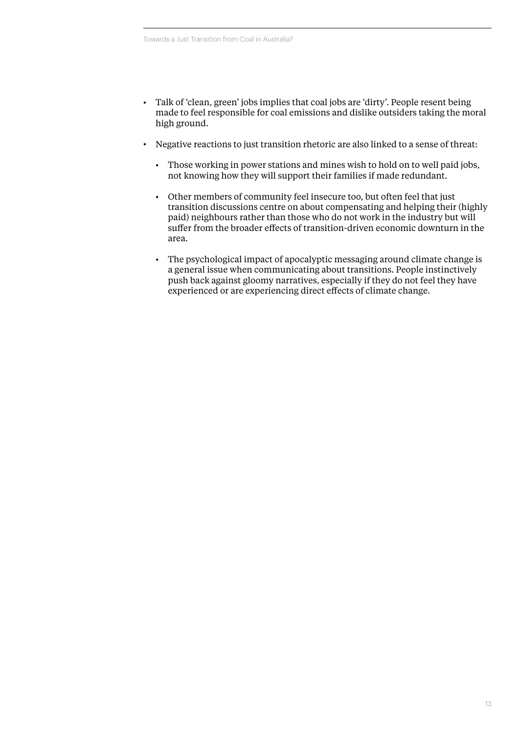- Talk of 'clean, green' jobs implies that coal jobs are 'dirty'. People resent being made to feel responsible for coal emissions and dislike outsiders taking the moral high ground.
- Negative reactions to just transition rhetoric are also linked to a sense of threat:
	- Those working in power stations and mines wish to hold on to well paid jobs, not knowing how they will support their families if made redundant.
	- Other members of community feel insecure too, but often feel that just transition discussions centre on about compensating and helping their (highly paid) neighbours rather than those who do not work in the industry but will suffer from the broader effects of transition-driven economic downturn in the area.
	- The psychological impact of apocalyptic messaging around climate change is a general issue when communicating about transitions. People instinctively push back against gloomy narratives, especially if they do not feel they have experienced or are experiencing direct effects of climate change.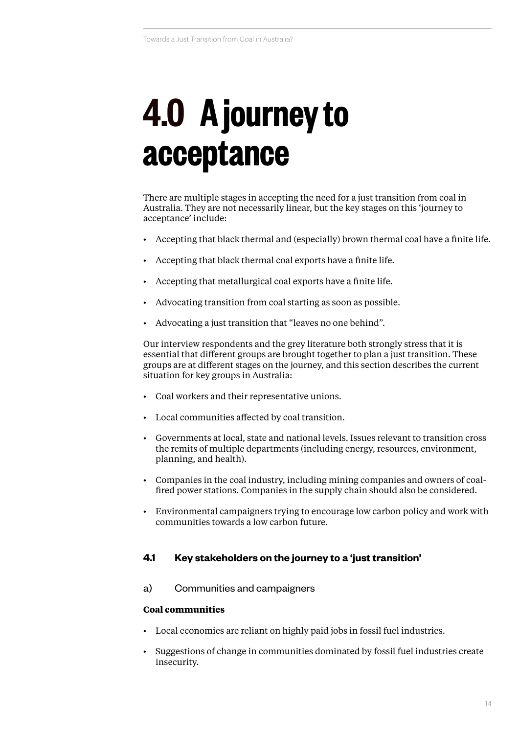### <span id="page-13-0"></span>**4.0 A journey to acceptance**

There are multiple stages in accepting the need for a just transition from coal in Australia. They are not necessarily linear, but the key stages on this 'journey to acceptance' include:

- Accepting that black thermal and (especially) brown thermal coal have a finite life.
- Accepting that black thermal coal exports have a finite life.
- Accepting that metallurgical coal exports have a finite life.
- Advocating transition from coal starting as soon as possible.
- Advocating a just transition that "leaves no one behind".

Our interview respondents and the grey literature both strongly stress that it is essential that different groups are brought together to plan a just transition. These groups are at different stages on the journey, and this section describes the current situation for key groups in Australia:

- Coal workers and their representative unions.
- Local communities affected by coal transition.
- Governments at local, state and national levels. Issues relevant to transition cross the remits of multiple departments (including energy, resources, environment, planning, and health).
- Companies in the coal industry, including mining companies and owners of coalfired power stations. Companies in the supply chain should also be considered.
- Environmental campaigners trying to encourage low carbon policy and work with communities towards a low carbon future.

#### **4.1 Key stakeholders on the journey to a 'just transition'**

a) Communities and campaigners

#### **Coal communities**

- Local economies are reliant on highly paid jobs in fossil fuel industries.
- Suggestions of change in communities dominated by fossil fuel industries create insecurity.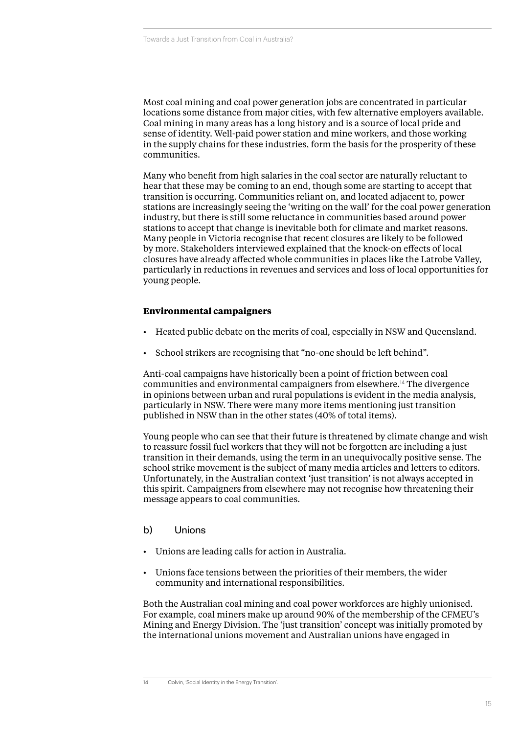Most coal mining and coal power generation jobs are concentrated in particular locations some distance from major cities, with few alternative employers available. Coal mining in many areas has a long history and is a source of local pride and sense of identity. Well-paid power station and mine workers, and those working in the supply chains for these industries, form the basis for the prosperity of these communities.

Many who benefit from high salaries in the coal sector are naturally reluctant to hear that these may be coming to an end, though some are starting to accept that transition is occurring. Communities reliant on, and located adjacent to, power stations are increasingly seeing the 'writing on the wall' for the coal power generation industry, but there is still some reluctance in communities based around power stations to accept that change is inevitable both for climate and market reasons. Many people in Victoria recognise that recent closures are likely to be followed by more. Stakeholders interviewed explained that the knock-on effects of local closures have already affected whole communities in places like the Latrobe Valley, particularly in reductions in revenues and services and loss of local opportunities for young people.

#### **Environmental campaigners**

- Heated public debate on the merits of coal, especially in NSW and Queensland.
- School strikers are recognising that "no-one should be left behind".

Anti-coal campaigns have historically been a point of friction between coal communities and environmental campaigners from elsewhere.<sup>14</sup> The divergence in opinions between urban and rural populations is evident in the media analysis, particularly in NSW. There were many more items mentioning just transition published in NSW than in the other states (40% of total items).

Young people who can see that their future is threatened by climate change and wish to reassure fossil fuel workers that they will not be forgotten are including a just transition in their demands, using the term in an unequivocally positive sense. The school strike movement is the subject of many media articles and letters to editors. Unfortunately, in the Australian context 'just transition' is not always accepted in this spirit. Campaigners from elsewhere may not recognise how threatening their message appears to coal communities.

#### b) Unions

- Unions are leading calls for action in Australia.
- Unions face tensions between the priorities of their members, the wider community and international responsibilities.

Both the Australian coal mining and coal power workforces are highly unionised. For example, coal miners make up around 90% of the membership of the CFMEU's Mining and Energy Division. The 'just transition' concept was initially promoted by the international unions movement and Australian unions have engaged in

<sup>14</sup> Colvin, 'Social Identity in the Energy Transition'.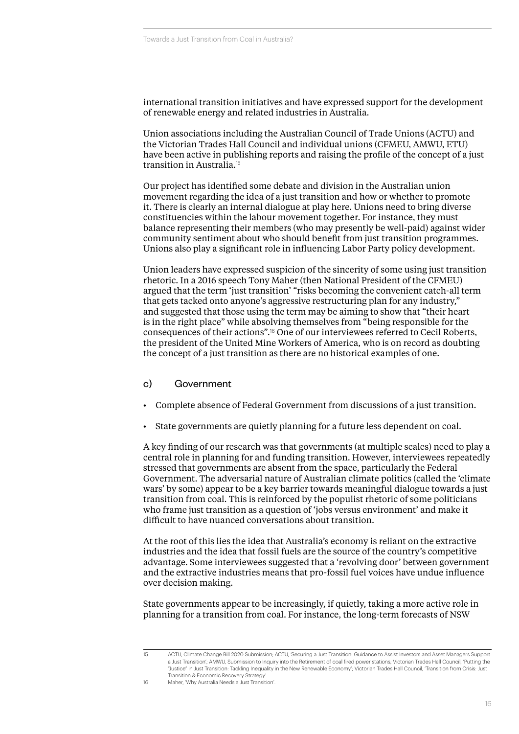international transition initiatives and have expressed support for the development of renewable energy and related industries in Australia.

Union associations including the Australian Council of Trade Unions (ACTU) and the Victorian Trades Hall Council and individual unions (CFMEU, AMWU, ETU) have been active in publishing reports and raising the profile of the concept of a just transition in Australia.<sup>15</sup>

Our project has identified some debate and division in the Australian union movement regarding the idea of a just transition and how or whether to promote it. There is clearly an internal dialogue at play here. Unions need to bring diverse constituencies within the labour movement together. For instance, they must balance representing their members (who may presently be well-paid) against wider community sentiment about who should benefit from just transition programmes. Unions also play a significant role in influencing Labor Party policy development.

Union leaders have expressed suspicion of the sincerity of some using just transition rhetoric. In a 2016 speech Tony Maher (then National President of the CFMEU) argued that the term 'just transition' "risks becoming the convenient catch-all term that gets tacked onto anyone's aggressive restructuring plan for any industry," and suggested that those using the term may be aiming to show that "their heart is in the right place" while absolving themselves from "being responsible for the consequences of their actions".<sup>16</sup> One of our interviewees referred to Cecil Roberts, the president of the United Mine Workers of America, who is on record as doubting the concept of a just transition as there are no historical examples of one.

#### c) Government

- Complete absence of Federal Government from discussions of a just transition.
- State governments are quietly planning for a future less dependent on coal.

A key finding of our research was that governments (at multiple scales) need to play a central role in planning for and funding transition. However, interviewees repeatedly stressed that governments are absent from the space, particularly the Federal Government. The adversarial nature of Australian climate politics (called the 'climate wars' by some) appear to be a key barrier towards meaningful dialogue towards a just transition from coal. This is reinforced by the populist rhetoric of some politicians who frame just transition as a question of 'jobs versus environment' and make it difficult to have nuanced conversations about transition.

At the root of this lies the idea that Australia's economy is reliant on the extractive industries and the idea that fossil fuels are the source of the country's competitive advantage. Some interviewees suggested that a 'revolving door' between government and the extractive industries means that pro-fossil fuel voices have undue influence over decision making.

State governments appear to be increasingly, if quietly, taking a more active role in planning for a transition from coal. For instance, the long-term forecasts of NSW

<sup>15</sup> ACTU, Climate Change Bill 2020 Submission; ACTU, 'Securing a Just Transition: Guidance to Assist Investors and Asset Managers Support a Just Transition'; AMWU, Submission to Inquiry into the Retirement of coal fired power stations; Victorian Trades Hall Council, 'Putting the "Justice" in Just Transition: Tackling Inequality in the New Renewable Economy'; Victorian Trades Hall Council, 'Transition from Crisis: Just Transition & Economic Recovery Strategy' 16 Maher, 'Why Australia Needs a Just Transition'.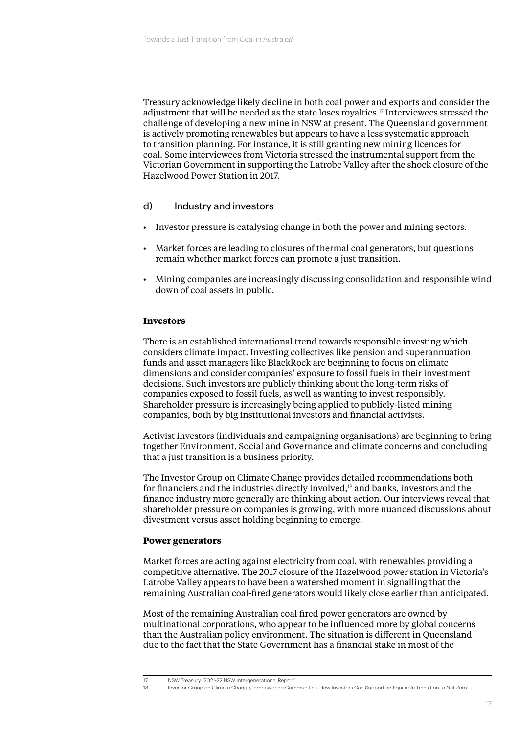Treasury acknowledge likely decline in both coal power and exports and consider the adjustment that will be needed as the state loses royalties.<sup>17</sup> Interviewees stressed the challenge of developing a new mine in NSW at present. The Queensland government is actively promoting renewables but appears to have a less systematic approach to transition planning. For instance, it is still granting new mining licences for coal. Some interviewees from Victoria stressed the instrumental support from the Victorian Government in supporting the Latrobe Valley after the shock closure of the Hazelwood Power Station in 2017.

#### d) Industry and investors

- Investor pressure is catalysing change in both the power and mining sectors.
- Market forces are leading to closures of thermal coal generators, but questions remain whether market forces can promote a just transition.
- Mining companies are increasingly discussing consolidation and responsible wind down of coal assets in public.

#### **Investors**

There is an established international trend towards responsible investing which considers climate impact. Investing collectives like pension and superannuation funds and asset managers like BlackRock are beginning to focus on climate dimensions and consider companies' exposure to fossil fuels in their investment decisions. Such investors are publicly thinking about the long-term risks of companies exposed to fossil fuels, as well as wanting to invest responsibly. Shareholder pressure is increasingly being applied to publicly-listed mining companies, both by big institutional investors and financial activists.

Activist investors (individuals and campaigning organisations) are beginning to bring together Environment, Social and Governance and climate concerns and concluding that a just transition is a business priority.

The Investor Group on Climate Change provides detailed recommendations both for financiers and the industries directly involved,<sup>18</sup> and banks, investors and the finance industry more generally are thinking about action. Our interviews reveal that shareholder pressure on companies is growing, with more nuanced discussions about divestment versus asset holding beginning to emerge.

#### **Power generators**

Market forces are acting against electricity from coal, with renewables providing a competitive alternative. The 2017 closure of the Hazelwood power station in Victoria's Latrobe Valley appears to have been a watershed moment in signalling that the remaining Australian coal-fired generators would likely close earlier than anticipated.

Most of the remaining Australian coal fired power generators are owned by multinational corporations, who appear to be influenced more by global concerns than the Australian policy environment. The situation is different in Queensland due to the fact that the State Government has a financial stake in most of the

<sup>17</sup> NSW Treasury, '2021-22 NSW Intergenerational Report'

<sup>18</sup> Investor Group on Climate Change, 'Empowering Communities: How Investors Can Support an Equitable Transition to Net Zero'.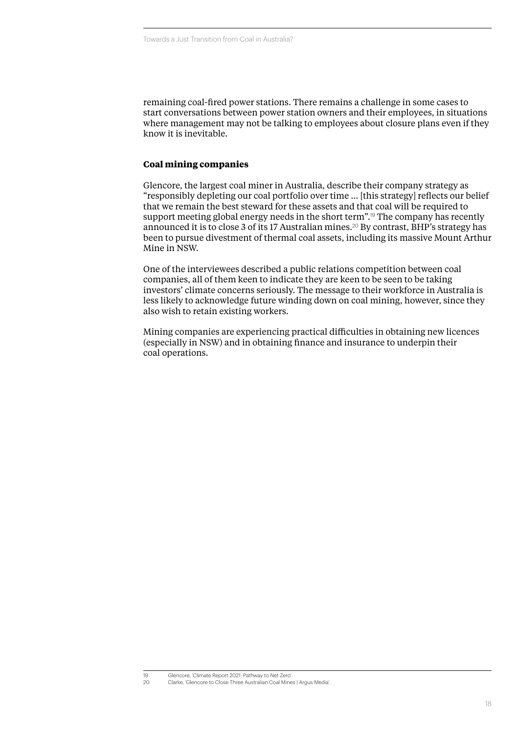remaining coal-fired power stations. There remains a challenge in some cases to start conversations between power station owners and their employees, in situations where management may not be talking to employees about closure plans even if they know it is inevitable.

#### **Coal mining companies**

Glencore, the largest coal miner in Australia, describe their company strategy as "responsibly depleting our coal portfolio over time … [this strategy] reflects our belief that we remain the best steward for these assets and that coal will be required to support meeting global energy needs in the short term".<sup>19</sup> The company has recently announced it is to close 3 of its 17 Australian mines.<sup>20</sup> By contrast, BHP's strategy has been to pursue divestment of thermal coal assets, including its massive Mount Arthur Mine in NSW.

One of the interviewees described a public relations competition between coal companies, all of them keen to indicate they are keen to be seen to be taking investors' climate concerns seriously. The message to their workforce in Australia is less likely to acknowledge future winding down on coal mining, however, since they also wish to retain existing workers.

Mining companies are experiencing practical difficulties in obtaining new licences (especially in NSW) and in obtaining finance and insurance to underpin their coal operations.

<sup>19</sup> Glencore, 'Climate Report 2021: Pathway to Net Zero'.

<sup>20</sup> Clarke, 'Glencore to Close Three Australian Coal Mines | Argus Media'.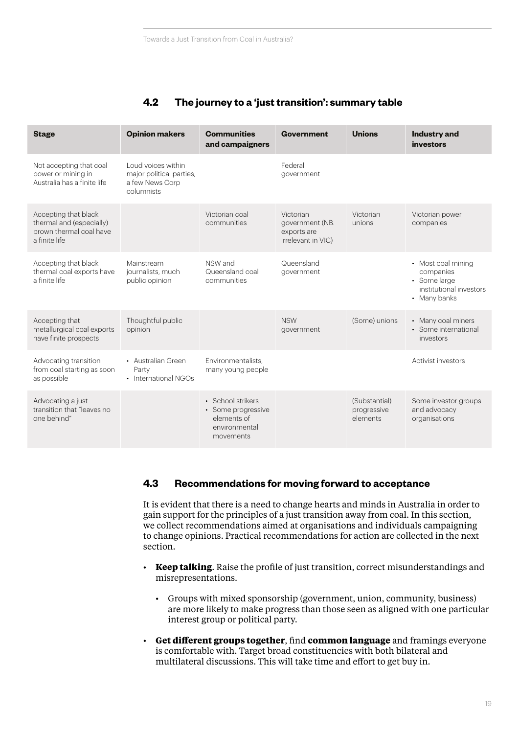### **4.2 The journey to a 'just transition': summary table**

| <b>Stage</b>                                                                                 | <b>Opinion makers</b>                                                           | <b>Communities</b><br>and campaigners                                                | <b>Government</b>                                                 | <b>Unions</b>                            | <b>Industry and</b><br>investors                                                           |
|----------------------------------------------------------------------------------------------|---------------------------------------------------------------------------------|--------------------------------------------------------------------------------------|-------------------------------------------------------------------|------------------------------------------|--------------------------------------------------------------------------------------------|
| Not accepting that coal<br>power or mining in<br>Australia has a finite life                 | Loud voices within<br>major political parties,<br>a few News Corp<br>columnists |                                                                                      | Federal<br>government                                             |                                          |                                                                                            |
| Accepting that black<br>thermal and (especially)<br>brown thermal coal have<br>a finite life |                                                                                 | Victorian coal<br>communities                                                        | Victorian<br>government (NB.<br>exports are<br>irrelevant in VIC) | Victorian<br>unions                      | Victorian power<br>companies                                                               |
| Accepting that black<br>thermal coal exports have<br>a finite life                           | Mainstream<br>journalists, much<br>public opinion                               | NSW and<br>Queensland coal<br>communities                                            | Queensland<br>government                                          |                                          | • Most coal mining<br>companies<br>• Some large<br>institutional investors<br>• Many banks |
| Accepting that<br>metallurgical coal exports<br>have finite prospects                        | Thoughtful public<br>opinion                                                    |                                                                                      | <b>NSW</b><br>government                                          | (Some) unions                            | • Many coal miners<br>• Some international<br>investors                                    |
| Advocating transition<br>from coal starting as soon<br>as possible                           | • Australian Green<br>Party<br>• International NGOs                             | Environmentalists.<br>many young people                                              |                                                                   |                                          | Activist investors                                                                         |
| Advocating a just<br>transition that "leaves no<br>one behind"                               |                                                                                 | • School strikers<br>• Some progressive<br>elements of<br>environmental<br>movements |                                                                   | (Substantial)<br>progressive<br>elements | Some investor groups<br>and advocacy<br>organisations                                      |

#### **4.3 Recommendations for moving forward to acceptance**

It is evident that there is a need to change hearts and minds in Australia in order to gain support for the principles of a just transition away from coal. In this section, we collect recommendations aimed at organisations and individuals campaigning to change opinions. Practical recommendations for action are collected in the next section.

- **Keep talking**. Raise the profile of just transition, correct misunderstandings and misrepresentations.
	- Groups with mixed sponsorship (government, union, community, business) are more likely to make progress than those seen as aligned with one particular interest group or political party.
- **Get different groups together**, find **common language** and framings everyone is comfortable with. Target broad constituencies with both bilateral and multilateral discussions. This will take time and effort to get buy in.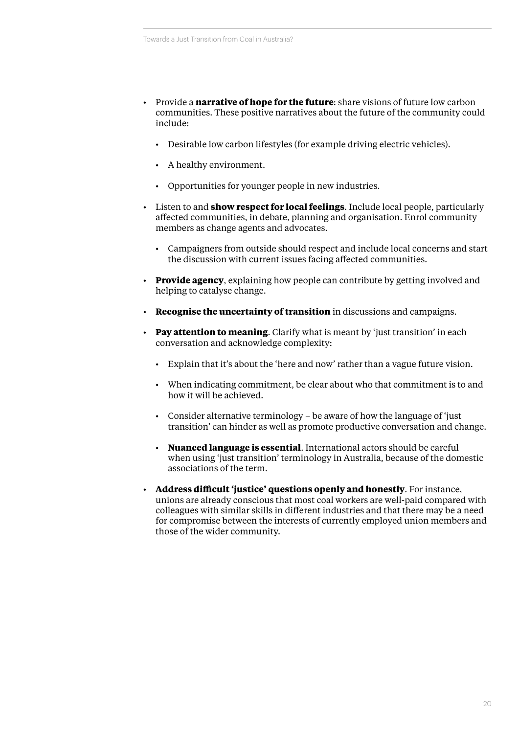- Provide a **narrative of hope for the future**: share visions of future low carbon communities. These positive narratives about the future of the community could include:
	- Desirable low carbon lifestyles (for example driving electric vehicles).
	- A healthy environment.
	- Opportunities for younger people in new industries.
- Listen to and **show respect for local feelings**. Include local people, particularly affected communities, in debate, planning and organisation. Enrol community members as change agents and advocates.
	- Campaigners from outside should respect and include local concerns and start the discussion with current issues facing affected communities.
- **Provide agency**, explaining how people can contribute by getting involved and helping to catalyse change.
- **Recognise the uncertainty of transition** in discussions and campaigns.
- **Pay attention to meaning**. Clarify what is meant by 'just transition' in each conversation and acknowledge complexity:
	- Explain that it's about the 'here and now' rather than a vague future vision.
	- When indicating commitment, be clear about who that commitment is to and how it will be achieved.
	- Consider alternative terminology be aware of how the language of 'just transition' can hinder as well as promote productive conversation and change.
	- **Nuanced language is essential**. International actors should be careful when using 'just transition' terminology in Australia, because of the domestic associations of the term.
- **Address difficult 'justice' questions openly and honestly**. For instance, unions are already conscious that most coal workers are well-paid compared with colleagues with similar skills in different industries and that there may be a need for compromise between the interests of currently employed union members and those of the wider community.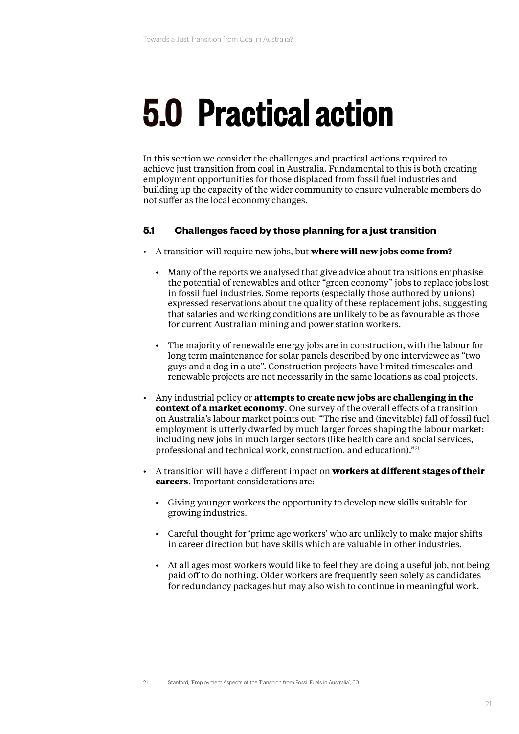## **5.0 Practical action**

In this section we consider the challenges and practical actions required to achieve just transition from coal in Australia. Fundamental to this is both creating employment opportunities for those displaced from fossil fuel industries and building up the capacity of the wider community to ensure vulnerable members do not suffer as the local economy changes.

#### **5.1 Challenges faced by those planning for a just transition**

- A transition will require new jobs, but **where will new jobs come from?**
	- Many of the reports we analysed that give advice about transitions emphasise the potential of renewables and other "green economy" jobs to replace jobs lost in fossil fuel industries. Some reports (especially those authored by unions) expressed reservations about the quality of these replacement jobs, suggesting that salaries and working conditions are unlikely to be as favourable as those for current Australian mining and power station workers.
	- The majority of renewable energy jobs are in construction, with the labour for long term maintenance for solar panels described by one interviewee as "two guys and a dog in a ute". Construction projects have limited timescales and renewable projects are not necessarily in the same locations as coal projects.
- Any industrial policy or **attempts to create new jobs are challenging in the context of a market economy**. One survey of the overall effects of a transition on Australia's labour market points out: "The rise and (inevitable) fall of fossil fuel employment is utterly dwarfed by much larger forces shaping the labour market: including new jobs in much larger sectors (like health care and social services, professional and technical work, construction, and education)."<sup>21</sup>
- A transition will have a different impact on **workers at different stages of their careers**. Important considerations are:
	- Giving younger workers the opportunity to develop new skills suitable for growing industries.
	- Careful thought for 'prime age workers' who are unlikely to make major shifts in career direction but have skills which are valuable in other industries.
	- At all ages most workers would like to feel they are doing a useful job, not being paid off to do nothing. Older workers are frequently seen solely as candidates for redundancy packages but may also wish to continue in meaningful work.

<sup>21</sup> Stanford, 'Employment Aspects of the Transition from Fossil Fuels in Australia', 60.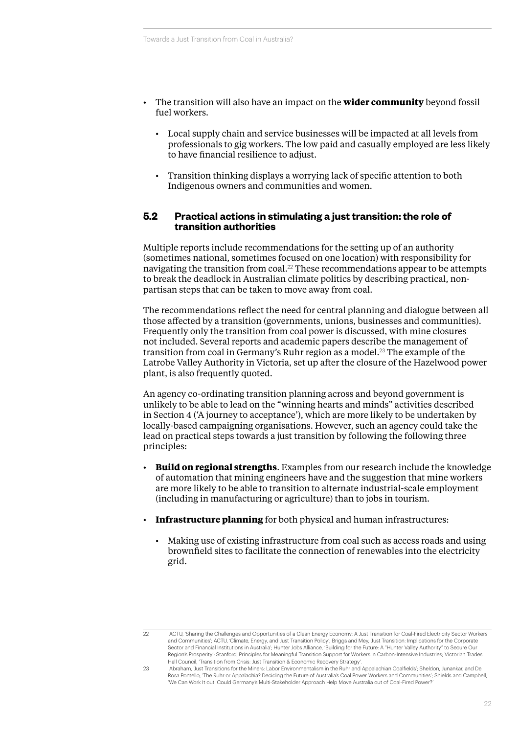- The transition will also have an impact on the **wider community** beyond fossil fuel workers.
	- Local supply chain and service businesses will be impacted at all levels from professionals to gig workers. The low paid and casually employed are less likely to have financial resilience to adjust.
	- Transition thinking displays a worrying lack of specific attention to both Indigenous owners and communities and women.

#### **5.2 Practical actions in stimulating a just transition: the role of transition authorities**

Multiple reports include recommendations for the setting up of an authority (sometimes national, sometimes focused on one location) with responsibility for navigating the transition from coal.<sup>22</sup> These recommendations appear to be attempts to break the deadlock in Australian climate politics by describing practical, nonpartisan steps that can be taken to move away from coal.

The recommendations reflect the need for central planning and dialogue between all those affected by a transition (governments, unions, businesses and communities). Frequently only the transition from coal power is discussed, with mine closures not included. Several reports and academic papers describe the management of transition from coal in Germany's Ruhr region as a model.<sup>23</sup> The example of the Latrobe Valley Authority in Victoria, set up after the closure of the Hazelwood power plant, is also frequently quoted.

An agency co-ordinating transition planning across and beyond government is unlikely to be able to lead on the "winning hearts and minds" activities described in Section [4](#page-13-0) (['A journey to acceptance](#page-13-0)'), which are more likely to be undertaken by locally-based campaigning organisations. However, such an agency could take the lead on practical steps towards a just transition by following the following three principles:

- **Build on regional strengths**. Examples from our research include the knowledge of automation that mining engineers have and the suggestion that mine workers are more likely to be able to transition to alternate industrial-scale employment (including in manufacturing or agriculture) than to jobs in tourism.
- **Infrastructure planning** for both physical and human infrastructures:
	- Making use of existing infrastructure from coal such as access roads and using brownfield sites to facilitate the connection of renewables into the electricity grid.

<sup>22</sup> ACTU, 'Sharing the Challenges and Opportunities of a Clean Energy Economy: A Just Transition for Coal-Fired Electricity Sector Workers and Communities'; ACTU, 'Climate, Energy, and Just Transition Policy'; Briggs and Mey, 'Just Transition: Implications for the Corporate Sector and Financial Institutions in Australia'; Hunter Jobs Alliance, 'Building for the Future: A "Hunter Valley Authority" to Secure Our Region's Prosperity'; Stanford, Principles for Meaningful Transition Support for Workers in Carbon-Intensive Industries; Victorian Trades Hall Council, 'Transition from Crisis: Just Transition & Economic Recovery Strategy'.

<sup>23</sup> Abraham, 'Just Transitions for the Miners: Labor Environmentalism in the Ruhr and Appalachian Coalfields'; Sheldon, Junankar, and De Rosa Pontello, 'The Ruhr or Appalachia? Deciding the Future of Australia's Coal Power Workers and Communities'; Shields and Campbell, 'We Can Work It out: Could Germany's Multi-Stakeholder Approach Help Move Australia out of Coal-Fired Power?'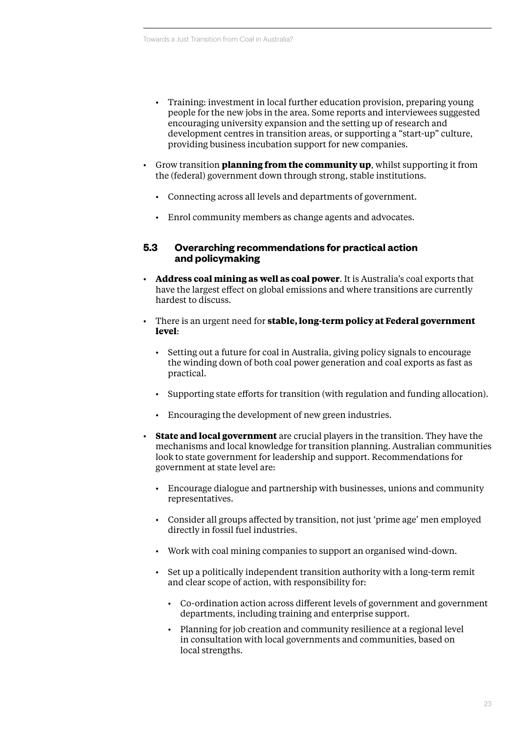- Training: investment in local further education provision, preparing young people for the new jobs in the area. Some reports and interviewees suggested encouraging university expansion and the setting up of research and development centres in transition areas, or supporting a "start-up" culture, providing business incubation support for new companies.
- Grow transition **planning from the community up**, whilst supporting it from the (federal) government down through strong, stable institutions.
	- Connecting across all levels and departments of government.
	- Enrol community members as change agents and advocates.

#### **5.3 Overarching recommendations for practical action and policymaking**

- **Address coal mining as well as coal power**. It is Australia's coal exports that have the largest effect on global emissions and where transitions are currently hardest to discuss.
- There is an urgent need for **stable, long-term policy at Federal government level**:
	- Setting out a future for coal in Australia, giving policy signals to encourage the winding down of both coal power generation and coal exports as fast as practical.
	- Supporting state efforts for transition (with regulation and funding allocation).
	- Encouraging the development of new green industries.
- **State and local government** are crucial players in the transition. They have the mechanisms and local knowledge for transition planning. Australian communities look to state government for leadership and support. Recommendations for government at state level are:
	- Encourage dialogue and partnership with businesses, unions and community representatives.
	- Consider all groups affected by transition, not just 'prime age' men employed directly in fossil fuel industries.
	- Work with coal mining companies to support an organised wind-down.
	- Set up a politically independent transition authority with a long-term remit and clear scope of action, with responsibility for:
		- Co-ordination action across different levels of government and government departments, including training and enterprise support.
		- Planning for job creation and community resilience at a regional level in consultation with local governments and communities, based on local strengths.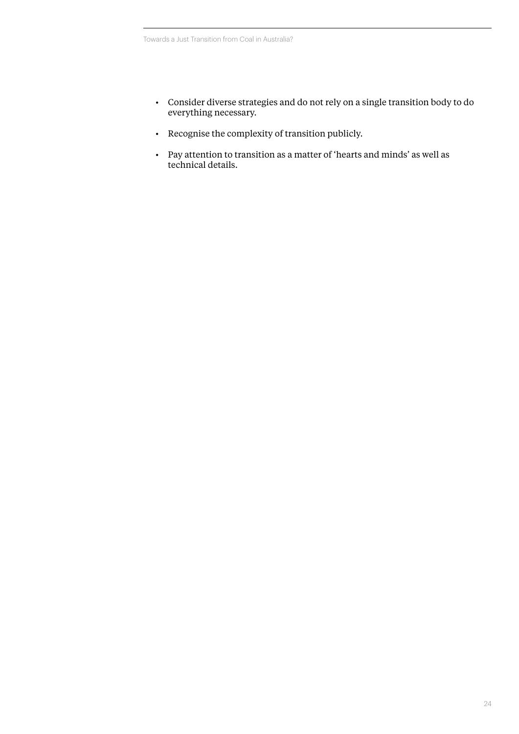- Consider diverse strategies and do not rely on a single transition body to do everything necessary.
- Recognise the complexity of transition publicly.
- Pay attention to transition as a matter of 'hearts and minds' as well as technical details.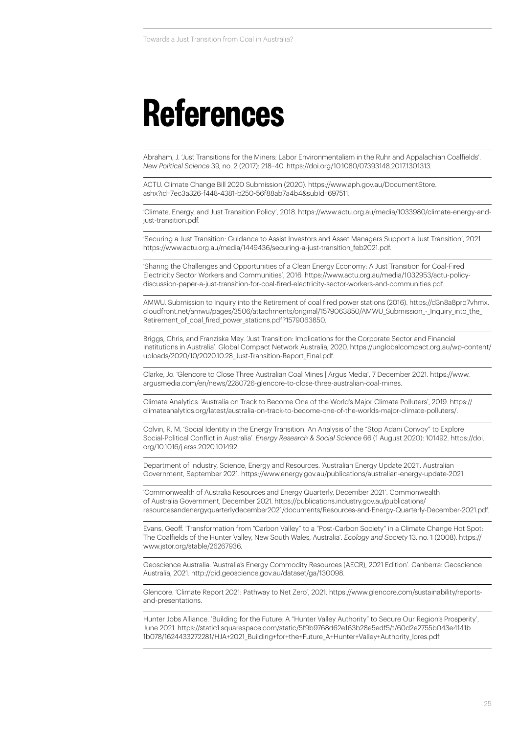### **References**

Abraham, J. 'Just Transitions for the Miners: Labor Environmentalism in the Ruhr and Appalachian Coalfields'. *New Political Science* 39, no. 2 (2017): 218–40. https://doi.org/10.1080/07393148.2017.1301313.

ACTU. Climate Change Bill 2020 Submission (2020). [https://www.aph.gov.au/DocumentStore.](https://www.aph.gov.au/DocumentStore.ashx?id=7ec3a326-f448-4381-b250-56f88ab7a4b4&subId=697511) [ashx?id=7ec3a326-f448-4381-b250-56f88ab7a4b4&subId=697511](https://www.aph.gov.au/DocumentStore.ashx?id=7ec3a326-f448-4381-b250-56f88ab7a4b4&subId=697511).

'Climate, Energy, and Just Transition Policy', 2018. https://www.actu.org.au/media/1033980/climate-energy-andjust-transition.pdf.

'Securing a Just Transition: Guidance to Assist Investors and Asset Managers Support a Just Transition', 2021. https://www.actu.org.au/media/1449436/securing-a-just-transition\_feb2021.pdf.

'Sharing the Challenges and Opportunities of a Clean Energy Economy: A Just Transition for Coal-Fired Electricity Sector Workers and Communities', 2016. https://www.actu.org.au/media/1032953/actu-policydiscussion-paper-a-just-transition-for-coal-fired-electricity-sector-workers-and-communities.pdf.

AMWU. Submission to Inquiry into the Retirement of coal fired power stations (2016). [https://d3n8a8pro7vhmx.](https://d3n8a8pro7vhmx.cloudfront.net/amwu/pages/3506/attachments/original/1579063850/AMWU_Submission_-_Inquiry_into_the_Retirement_of_coal_fired_power_stations.pdf?1579063850) cloudfront.net/amwu/pages/3506/attachments/original/1579063850/AMWU\_Submission - Inquiry\_into\_the Retirement of coal fired power stations.pdf?1579063850.

Briggs, Chris, and Franziska Mey. 'Just Transition: Implications for the Corporate Sector and Financial Institutions in Australia'. Global Compact Network Australia, 2020. [https://unglobalcompact.org.au/wp-content/](https://unglobalcompact.org.au/wp-content/uploads/2020/10/2020.10.28_Just-Transition-Report_Final.pdf) [uploads/2020/10/2020.10.28\\_Just-Transition-Report\\_Final.pdf.](https://unglobalcompact.org.au/wp-content/uploads/2020/10/2020.10.28_Just-Transition-Report_Final.pdf)

Clarke, Jo. 'Glencore to Close Three Australian Coal Mines | Argus Media', 7 December 2021. [https://www.](https://www.argusmedia.com/en/news/2280726-glencore-to-close-three-australian-coal-mines) [argusmedia.com/en/news/2280726-glencore-to-close-three-australian-coal-mines.](https://www.argusmedia.com/en/news/2280726-glencore-to-close-three-australian-coal-mines)

Climate Analytics. 'Australia on Track to Become One of the World's Major Climate Polluters', 2019. https:// climateanalytics.org/latest/australia-on-track-to-become-one-of-the-worlds-major-climate-polluters/.

Colvin, R. M. 'Social Identity in the Energy Transition: An Analysis of the "Stop Adani Convoy" to Explore Social-Political Conflict in Australia'. *Energy Research & Social Science* 66 (1 August 2020): 101492. [https://doi.](https://doi.org/10.1016/j.erss.2020.101492) [org/10.1016/j.erss.2020.101492](https://doi.org/10.1016/j.erss.2020.101492).

Department of Industry, Science, Energy and Resources. 'Australian Energy Update 2021'. Australian Government, September 2021. https://www.energy.gov.au/publications/australian-energy-update-2021.

'Commonwealth of Australia Resources and Energy Quarterly, December 2021'. Commonwealth of Australia Government, December 2021. [https://publications.industry.gov.au/publications/](https://publications.industry.gov.au/publications/resourcesandenergyquarterlydecember2021/documents/Resources-and-Energy-Quarterly-December-2021.pdf) [resourcesandenergyquarterlydecember2021/documents/Resources-and-Energy-Quarterly-December-2021.pdf.](https://publications.industry.gov.au/publications/resourcesandenergyquarterlydecember2021/documents/Resources-and-Energy-Quarterly-December-2021.pdf)

Evans, Geoff. 'Transformation from "Carbon Valley" to a "Post-Carbon Society" in a Climate Change Hot Spot: The Coalfields of the Hunter Valley, New South Wales, Australia'. *Ecology and Society* 13, no. 1 (2008). https:// www.jstor.org/stable/26267936.

Geoscience Australia. 'Australia's Energy Commodity Resources (AECR), 2021 Edition'. Canberra: Geoscience Australia, 2021. http://pid.geoscience.gov.au/dataset/ga/130098.

Glencore. 'Climate Report 2021: Pathway to Net Zero', 2021. [https://www.glencore.com/sustainability/reports](https://www.glencore.com/sustainability/reports-and-presentations)[and-presentations](https://www.glencore.com/sustainability/reports-and-presentations).

Hunter Jobs Alliance. 'Building for the Future: A "Hunter Valley Authority" to Secure Our Region's Prosperity', June 2021. [https://static1.squarespace.com/static/5f9b9768d62e163b28e5edf5/t/60d2e2755b043e4141b](https://static1.squarespace.com/static/5f9b9768d62e163b28e5edf5/t/60d2e2755b043e4141b1b078/1624433272281/HJA+2021_Building+for+the+Future_A+Hunter+Valley+Authority_lores.pdf) [1b078/1624433272281/HJA+2021\\_Building+for+the+Future\\_A+Hunter+Valley+Authority\\_lores.pdf.](https://static1.squarespace.com/static/5f9b9768d62e163b28e5edf5/t/60d2e2755b043e4141b1b078/1624433272281/HJA+2021_Building+for+the+Future_A+Hunter+Valley+Authority_lores.pdf)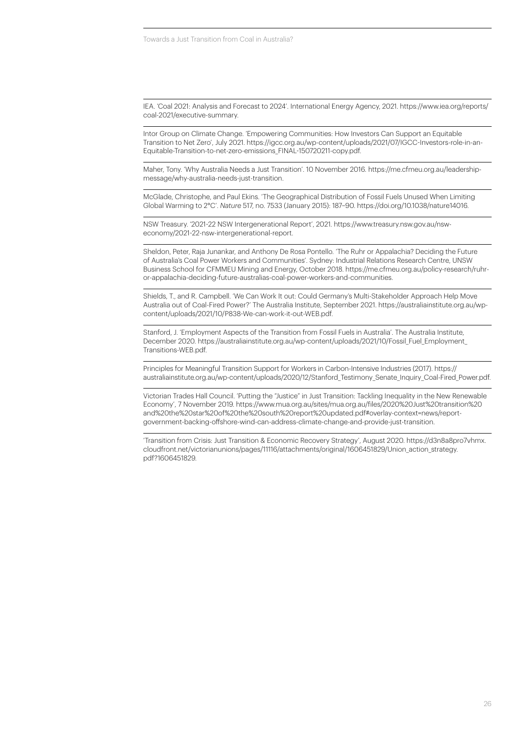IEA. 'Coal 2021: Analysis and Forecast to 2024'. International Energy Agency, 2021. https://www.iea.org/reports/ coal-2021/executive-summary.

Intor Group on Climate Change. 'Empowering Communities: How Investors Can Support an Equitable Transition to Net Zero', July 2021. https://igcc.org.au/wp-content/uploads/2021/07/IGCC-Investors-role-in-an-Equitable-Transition-to-net-zero-emissions\_FINAL-150720211-copy.pdf.

Maher, Tony. 'Why Australia Needs a Just Transition'. 10 November 2016. https://me.cfmeu.org.au/leadershipmessage/why-australia-needs-just-transition.

McGlade, Christophe, and Paul Ekins. 'The Geographical Distribution of Fossil Fuels Unused When Limiting Global Warming to 2°C'. *Nature* 517, no. 7533 (January 2015): 187–90. https://doi.org/10.1038/nature14016.

NSW Treasury. '2021-22 NSW Intergenerational Report', 2021. https://www.treasury.nsw.gov.au/nsweconomy/2021-22-nsw-intergenerational-report.

Sheldon, Peter, Raja Junankar, and Anthony De Rosa Pontello. 'The Ruhr or Appalachia? Deciding the Future of Australia's Coal Power Workers and Communities'. Sydney: Industrial Relations Research Centre, UNSW Business School for CFMMEU Mining and Energy, October 2018. https://me.cfmeu.org.au/policy-research/ruhror-appalachia-deciding-future-australias-coal-power-workers-and-communities.

Shields, T., and R. Campbell. 'We Can Work It out: Could Germany's Multi-Stakeholder Approach Help Move Australia out of Coal-Fired Power?' The Australia Institute, September 2021. https://australiainstitute.org.au/wpcontent/uploads/2021/10/P838-We-can-work-it-out-WEB.pdf.

Stanford, J. 'Employment Aspects of the Transition from Fossil Fuels in Australia'. The Australia Institute, December 2020. [https://australiainstitute.org.au/wp-content/uploads/2021/10/Fossil\\_Fuel\\_Employment\\_](https://australiainstitute.org.au/wp-content/uploads/2021/10/Fossil_Fuel_Employment_Transitions-WEB.pdf) [Transitions-WEB.pdf.](https://australiainstitute.org.au/wp-content/uploads/2021/10/Fossil_Fuel_Employment_Transitions-WEB.pdf)

Principles for Meaningful Transition Support for Workers in Carbon-Intensive Industries (2017). https:// australiainstitute.org.au/wp-content/uploads/2020/12/Stanford\_Testimony\_Senate\_Inquiry\_Coal-Fired\_Power.pdf.

Victorian Trades Hall Council. 'Putting the "Justice" in Just Transition: Tackling Inequality in the New Renewable Economy', 7 November 2019. [https://www.mua.org.au/sites/mua.org.au/files/2020%20Just%20transition%20](https://www.mua.org.au/sites/mua.org.au/files/2020%20Just%20transition%20and%20the%20star%20of%20the%20south%20report%20updated.pdf#overlay-context=news/report-government-backing-offshore-wind-can-address-climate-change-and-provide-just-transition) [and%20the%20star%20of%20the%20south%20report%20updated.pdf#overlay-context=news/report](https://www.mua.org.au/sites/mua.org.au/files/2020%20Just%20transition%20and%20the%20star%20of%20the%20south%20report%20updated.pdf#overlay-context=news/report-government-backing-offshore-wind-can-address-climate-change-and-provide-just-transition)[government-backing-offshore-wind-can-address-climate-change-and-provide-just-transition](https://www.mua.org.au/sites/mua.org.au/files/2020%20Just%20transition%20and%20the%20star%20of%20the%20south%20report%20updated.pdf#overlay-context=news/report-government-backing-offshore-wind-can-address-climate-change-and-provide-just-transition).

'Transition from Crisis: Just Transition & Economic Recovery Strategy', August 2020. [https://d3n8a8pro7vhmx.](https://d3n8a8pro7vhmx.cloudfront.net/victorianunions/pages/11116/attachments/original/1606451829/Union_action_strategy.pdf?1606451829) [cloudfront.net/victorianunions/pages/11116/attachments/original/1606451829/Union\\_action\\_strategy.](https://d3n8a8pro7vhmx.cloudfront.net/victorianunions/pages/11116/attachments/original/1606451829/Union_action_strategy.pdf?1606451829) [pdf?1606451829.](https://d3n8a8pro7vhmx.cloudfront.net/victorianunions/pages/11116/attachments/original/1606451829/Union_action_strategy.pdf?1606451829)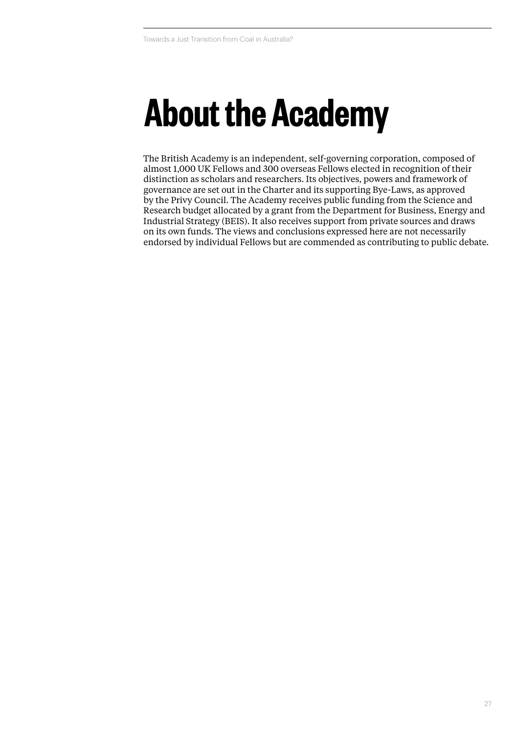### **About the Academy**

The British Academy is an independent, self-governing corporation, composed of almost 1,000 UK Fellows and 300 overseas Fellows elected in recognition of their distinction as scholars and researchers. Its objectives, powers and framework of governance are set out in the Charter and its supporting Bye-Laws, as approved by the Privy Council. The Academy receives public funding from the Science and Research budget allocated by a grant from the Department for Business, Energy and Industrial Strategy (BEIS). It also receives support from private sources and draws on its own funds. The views and conclusions expressed here are not necessarily endorsed by individual Fellows but are commended as contributing to public debate.